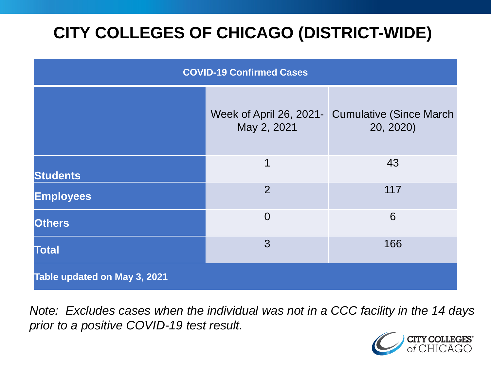# **CITY COLLEGES OF CHICAGO (DISTRICT-WIDE)**

| <b>COVID-19 Confirmed Cases</b> |                                        |                                              |
|---------------------------------|----------------------------------------|----------------------------------------------|
|                                 | Week of April 26, 2021-<br>May 2, 2021 | <b>Cumulative (Since March)</b><br>20, 2020) |
| <b>Students</b>                 | 1                                      | 43                                           |
| <b>Employees</b>                | 2                                      | 117                                          |
| <b>Others</b>                   | $\overline{0}$                         | 6                                            |
| <b>Total</b>                    | 3                                      | 166                                          |
| Table updated on May 3, 2021    |                                        |                                              |

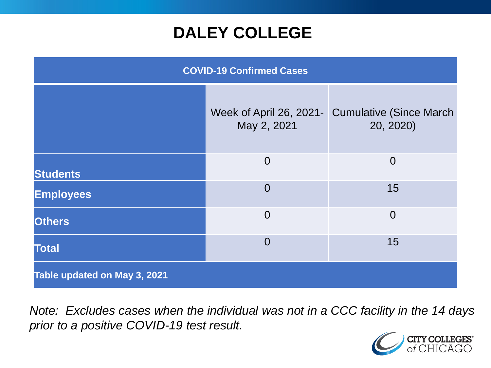# **DALEY COLLEGE**

| <b>COVID-19 Confirmed Cases</b> |                                        |                                              |
|---------------------------------|----------------------------------------|----------------------------------------------|
|                                 | Week of April 26, 2021-<br>May 2, 2021 | <b>Cumulative (Since March)</b><br>20, 2020) |
| <b>Students</b>                 | $\overline{0}$                         | $\overline{0}$                               |
| <b>Employees</b>                | $\overline{0}$                         | 15                                           |
| <b>Others</b>                   | $\overline{0}$                         | $\overline{0}$                               |
| <b>Total</b>                    | $\overline{0}$                         | 15                                           |
| Table updated on May 3, 2021    |                                        |                                              |

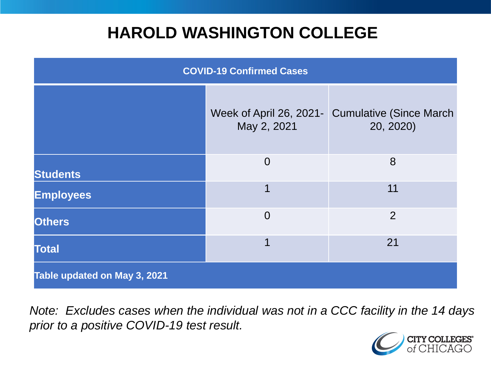# **HAROLD WASHINGTON COLLEGE**

| <b>COVID-19 Confirmed Cases</b> |                                        |                                              |
|---------------------------------|----------------------------------------|----------------------------------------------|
|                                 | Week of April 26, 2021-<br>May 2, 2021 | <b>Cumulative (Since March)</b><br>20, 2020) |
| <b>Students</b>                 | $\overline{0}$                         | 8                                            |
| <b>Employees</b>                | 1                                      | 11                                           |
| <b>Others</b>                   | $\overline{0}$                         | 2                                            |
| <b>Total</b>                    | 1                                      | 21                                           |
| Table updated on May 3, 2021    |                                        |                                              |

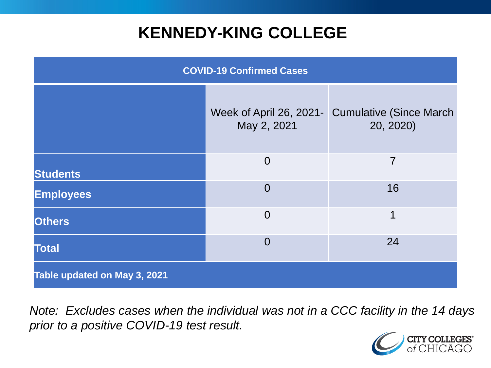# **KENNEDY-KING COLLEGE**

| <b>COVID-19 Confirmed Cases</b> |                                        |                                              |
|---------------------------------|----------------------------------------|----------------------------------------------|
|                                 | Week of April 26, 2021-<br>May 2, 2021 | <b>Cumulative (Since March)</b><br>20, 2020) |
| <b>Students</b>                 | $\overline{0}$                         | $\overline{7}$                               |
| <b>Employees</b>                | $\overline{0}$                         | 16                                           |
| <b>Others</b>                   | $\overline{0}$                         | 1                                            |
| <b>Total</b>                    | $\overline{0}$                         | 24                                           |
| Table updated on May 3, 2021    |                                        |                                              |

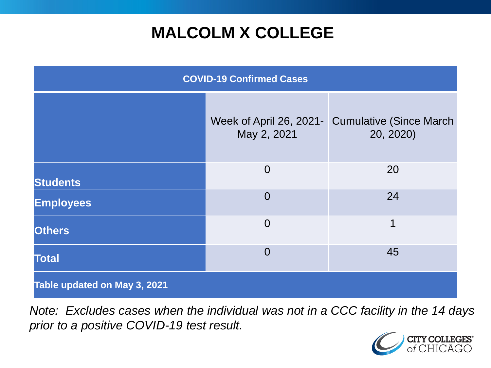# **MALCOLM X COLLEGE**

| <b>COVID-19 Confirmed Cases</b> |                                        |                                              |
|---------------------------------|----------------------------------------|----------------------------------------------|
|                                 | Week of April 26, 2021-<br>May 2, 2021 | <b>Cumulative (Since March)</b><br>20, 2020) |
| <b>Students</b>                 | $\overline{0}$                         | 20                                           |
| <b>Employees</b>                | $\overline{0}$                         | 24                                           |
| <b>Others</b>                   | $\overline{0}$                         | 1                                            |
| <b>Total</b>                    | $\overline{0}$                         | 45                                           |
| Table updated on May 3, 2021    |                                        |                                              |

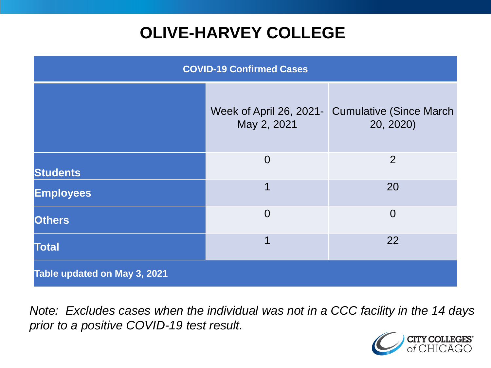# **OLIVE-HARVEY COLLEGE**

| <b>COVID-19 Confirmed Cases</b> |                                        |                                              |
|---------------------------------|----------------------------------------|----------------------------------------------|
|                                 | Week of April 26, 2021-<br>May 2, 2021 | <b>Cumulative (Since March)</b><br>20, 2020) |
| <b>Students</b>                 | $\overline{0}$                         | 2                                            |
| <b>Employees</b>                | 1                                      | 20                                           |
| <b>Others</b>                   | $\overline{0}$                         | $\overline{0}$                               |
| <b>Total</b>                    | 1                                      | 22                                           |
| Table updated on May 3, 2021    |                                        |                                              |

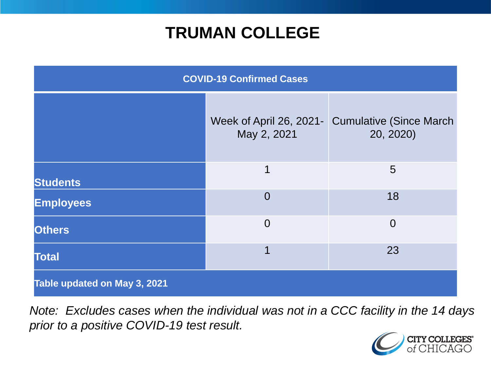# **TRUMAN COLLEGE**

| <b>COVID-19 Confirmed Cases</b> |                |                                                               |
|---------------------------------|----------------|---------------------------------------------------------------|
|                                 | May 2, 2021    | Week of April 26, 2021 - Cumulative (Since March<br>20, 2020) |
| <b>Students</b>                 | 1              | 5                                                             |
| <b>Employees</b>                | $\overline{0}$ | 18                                                            |
| <b>Others</b>                   | $\overline{0}$ | $\overline{0}$                                                |
| <b>Total</b>                    | 1              | 23                                                            |
| Table updated on May 3, 2021    |                |                                                               |

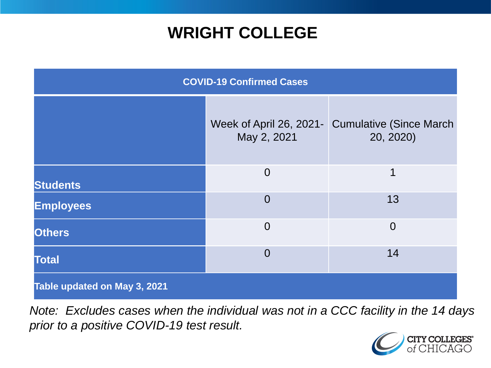# **WRIGHT COLLEGE**

| <b>COVID-19 Confirmed Cases</b> |                |                                                              |
|---------------------------------|----------------|--------------------------------------------------------------|
|                                 | May 2, 2021    | Week of April 26, 2021- Cumulative (Since March<br>20, 2020) |
| <b>Students</b>                 | $\overline{0}$ | 1                                                            |
| <b>Employees</b>                | $\overline{0}$ | 13                                                           |
| <b>Others</b>                   | $\overline{0}$ | $\overline{0}$                                               |
| <b>Total</b>                    | $\overline{0}$ | 14                                                           |
| Table updated on May 3, 2021    |                |                                                              |